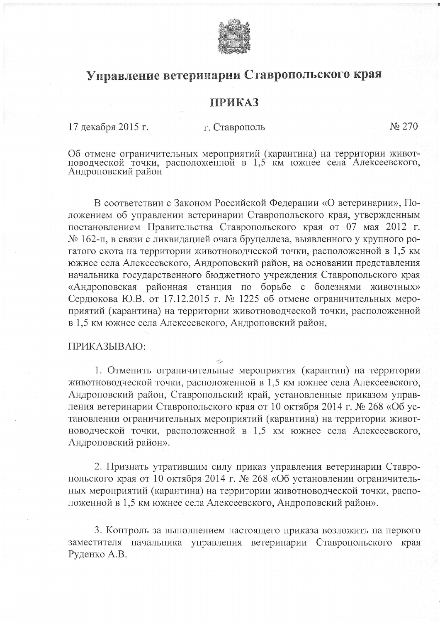

## Управление ветеринарии Ставропольского края

## **ПРИКАЗ**

17 декабря 2015 г.

г. Ставрополь

No 270

Об отмене ограничительных мероприятий (карантина) на территории живот-новодческой точки, расположенной в 1,5 км южнее села Алексеевского, Андроповский район

В соответствии с Законом Российской Федерации «О ветеринарии», Положением об управлении ветеринарии Ставропольского края, утвержденным постановлением Правительства Ставропольского края от 07 мая 2012 г. № 162-п, в связи с ликвидацией очага бруцеллеза, выявленного у крупного рогатого скота на территории животноводческой точки, расположенной в 1,5 км южнее села Алексеевского, Андроповский район, на основании представления начальника государственного бюджетного учреждения Ставропольского края «Андроповская районная станция по борьбе с болезнями животных» Сердюкова Ю.В. от 17.12.2015 г. № 1225 об отмене ограничительных мероприятий (карантина) на территории животноводческой точки, расположенной в 1,5 км южнее села Алексеевского, Андроповский район,

## ПРИКАЗЫВАЮ:

1. Отменить ограничительные мероприятия (карантин) на территории животноводческой точки, расположенной в 1,5 км южнее села Алексеевского, Андроповский район, Ставропольский край, установленные приказом управления ветеринарии Ставропольского края от 10 октября 2014 г. № 268 «Об установлении ограничительных мероприятий (карантина) на территории животноводческой точки, расположенной в 1,5 км южнее села Алексеевского, Андроповский район».

2. Признать утратившим силу приказ управления ветеринарии Ставропольского края от 10 октября 2014 г. № 268 «Об установлении ограничительных мероприятий (карантина) на территории животноводческой точки, расположенной в 1,5 км южнее села Алексеевского, Андроповский район».

3. Контроль за выполнением настоящего приказа возложить на первого заместителя начальника управления ветеринарии Ставропольского края Руденко А.В.